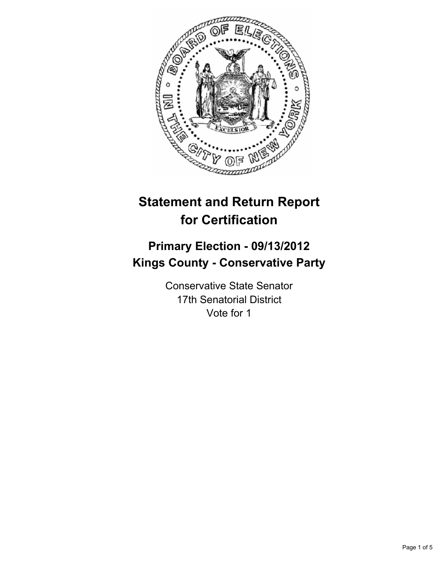

# **Statement and Return Report for Certification**

## **Primary Election - 09/13/2012 Kings County - Conservative Party**

Conservative State Senator 17th Senatorial District Vote for 1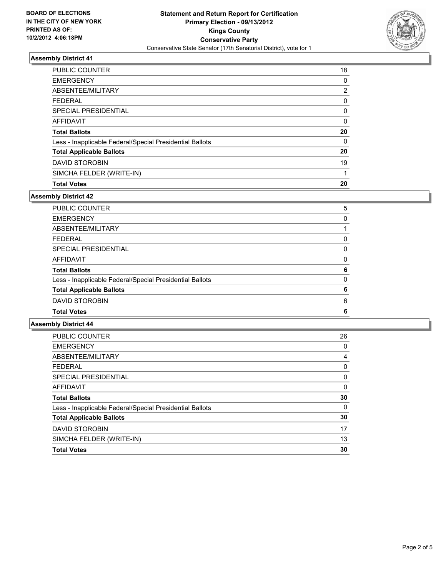

#### **Assembly District 41**

| <b>PUBLIC COUNTER</b>                                    | 18 |
|----------------------------------------------------------|----|
| <b>EMERGENCY</b>                                         | 0  |
| ABSENTEE/MILITARY                                        | 2  |
| <b>FFDFRAL</b>                                           | 0  |
| SPECIAL PRESIDENTIAL                                     | 0  |
| AFFIDAVIT                                                | 0  |
| <b>Total Ballots</b>                                     | 20 |
| Less - Inapplicable Federal/Special Presidential Ballots | 0  |
| <b>Total Applicable Ballots</b>                          | 20 |
| <b>DAVID STOROBIN</b>                                    | 19 |
| SIMCHA FELDER (WRITE-IN)                                 |    |
| <b>Total Votes</b>                                       | 20 |

#### **Assembly District 42**

| <b>Total Votes</b>                                       | 6 |
|----------------------------------------------------------|---|
| <b>DAVID STOROBIN</b>                                    | 6 |
| <b>Total Applicable Ballots</b>                          | 6 |
| Less - Inapplicable Federal/Special Presidential Ballots | 0 |
| <b>Total Ballots</b>                                     | 6 |
| <b>AFFIDAVIT</b>                                         | 0 |
| SPECIAL PRESIDENTIAL                                     | 0 |
| <b>FEDERAL</b>                                           | 0 |
| ABSENTEE/MILITARY                                        |   |
| <b>EMERGENCY</b>                                         | 0 |
| PUBLIC COUNTER                                           | 5 |

#### **Assembly District 44**

| <b>EMERGENCY</b><br>0<br>ABSENTEE/MILITARY<br>4<br><b>FEDERAL</b><br>0<br>SPECIAL PRESIDENTIAL<br>0<br><b>AFFIDAVIT</b><br>0<br>30<br><b>Total Ballots</b><br>0<br>Less - Inapplicable Federal/Special Presidential Ballots<br>30<br><b>Total Applicable Ballots</b><br><b>DAVID STOROBIN</b><br>17<br>13<br>SIMCHA FELDER (WRITE-IN)<br>30<br><b>Total Votes</b> | <b>PUBLIC COUNTER</b> | 26 |
|-------------------------------------------------------------------------------------------------------------------------------------------------------------------------------------------------------------------------------------------------------------------------------------------------------------------------------------------------------------------|-----------------------|----|
|                                                                                                                                                                                                                                                                                                                                                                   |                       |    |
|                                                                                                                                                                                                                                                                                                                                                                   |                       |    |
|                                                                                                                                                                                                                                                                                                                                                                   |                       |    |
|                                                                                                                                                                                                                                                                                                                                                                   |                       |    |
|                                                                                                                                                                                                                                                                                                                                                                   |                       |    |
|                                                                                                                                                                                                                                                                                                                                                                   |                       |    |
|                                                                                                                                                                                                                                                                                                                                                                   |                       |    |
|                                                                                                                                                                                                                                                                                                                                                                   |                       |    |
|                                                                                                                                                                                                                                                                                                                                                                   |                       |    |
|                                                                                                                                                                                                                                                                                                                                                                   |                       |    |
|                                                                                                                                                                                                                                                                                                                                                                   |                       |    |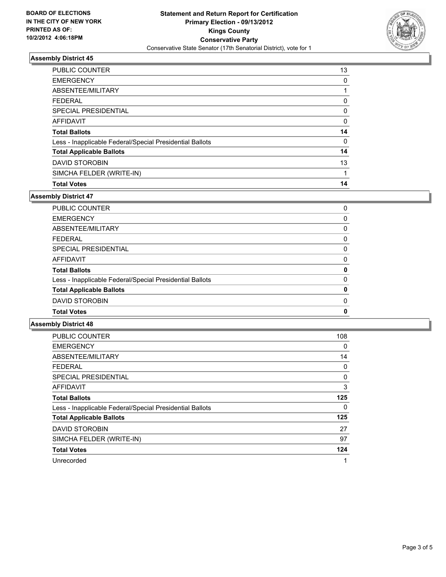

#### **Assembly District 45**

| <b>PUBLIC COUNTER</b>                                    | 13 |
|----------------------------------------------------------|----|
| <b>EMERGENCY</b>                                         | 0  |
| ABSENTEE/MILITARY                                        |    |
| <b>FFDFRAL</b>                                           | 0  |
| SPECIAL PRESIDENTIAL                                     | 0  |
| AFFIDAVIT                                                | 0  |
| <b>Total Ballots</b>                                     | 14 |
| Less - Inapplicable Federal/Special Presidential Ballots | 0  |
| <b>Total Applicable Ballots</b>                          | 14 |
| <b>DAVID STOROBIN</b>                                    | 13 |
| SIMCHA FELDER (WRITE-IN)                                 |    |
| <b>Total Votes</b>                                       | 14 |

#### **Assembly District 47**

| <b>PUBLIC COUNTER</b>                                    | 0 |
|----------------------------------------------------------|---|
|                                                          |   |
| <b>EMERGENCY</b>                                         | 0 |
| ABSENTEE/MILITARY                                        | 0 |
| <b>FEDERAL</b>                                           | 0 |
| SPECIAL PRESIDENTIAL                                     | 0 |
| <b>AFFIDAVIT</b>                                         | 0 |
| <b>Total Ballots</b>                                     | 0 |
| Less - Inapplicable Federal/Special Presidential Ballots | 0 |
| <b>Total Applicable Ballots</b>                          | 0 |
| <b>DAVID STOROBIN</b>                                    | 0 |
| <b>Total Votes</b>                                       | 0 |
|                                                          |   |

#### **Assembly District 48**

| <b>PUBLIC COUNTER</b>                                    | 108 |
|----------------------------------------------------------|-----|
| <b>EMERGENCY</b>                                         | 0   |
| ABSENTEE/MILITARY                                        | 14  |
| <b>FEDERAL</b>                                           | 0   |
| <b>SPECIAL PRESIDENTIAL</b>                              | 0   |
| <b>AFFIDAVIT</b>                                         | 3   |
| <b>Total Ballots</b>                                     | 125 |
| Less - Inapplicable Federal/Special Presidential Ballots | 0   |
| <b>Total Applicable Ballots</b>                          | 125 |
| <b>DAVID STOROBIN</b>                                    | 27  |
| SIMCHA FELDER (WRITE-IN)                                 | 97  |
| <b>Total Votes</b>                                       | 124 |
| Unrecorded                                               | 1   |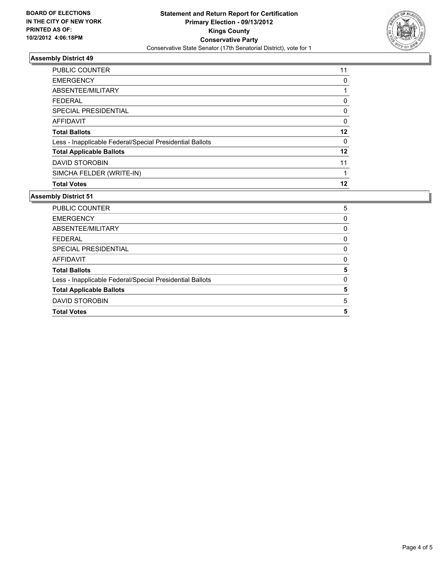

#### **Assembly District 49**

| <b>PUBLIC COUNTER</b>                                    | 11 |
|----------------------------------------------------------|----|
| <b>EMERGENCY</b>                                         | 0  |
| ABSENTEE/MILITARY                                        |    |
| <b>FFDFRAL</b>                                           | 0  |
| SPECIAL PRESIDENTIAL                                     | 0  |
| AFFIDAVIT                                                | 0  |
| <b>Total Ballots</b>                                     | 12 |
| Less - Inapplicable Federal/Special Presidential Ballots | 0  |
| <b>Total Applicable Ballots</b>                          | 12 |
| <b>DAVID STOROBIN</b>                                    | 11 |
| SIMCHA FELDER (WRITE-IN)                                 |    |
| <b>Total Votes</b>                                       | 12 |

#### **Assembly District 51**

| PUBLIC COUNTER                                           | 5        |
|----------------------------------------------------------|----------|
| <b>EMERGENCY</b>                                         | 0        |
| ABSENTEE/MILITARY                                        | 0        |
| <b>FEDERAL</b>                                           | 0        |
| SPECIAL PRESIDENTIAL                                     | 0        |
| AFFIDAVIT                                                | 0        |
| <b>Total Ballots</b>                                     | 5        |
| Less - Inapplicable Federal/Special Presidential Ballots | $\Omega$ |
| <b>Total Applicable Ballots</b>                          | 5        |
| DAVID STOROBIN                                           | 5        |
| <b>Total Votes</b>                                       | 5        |